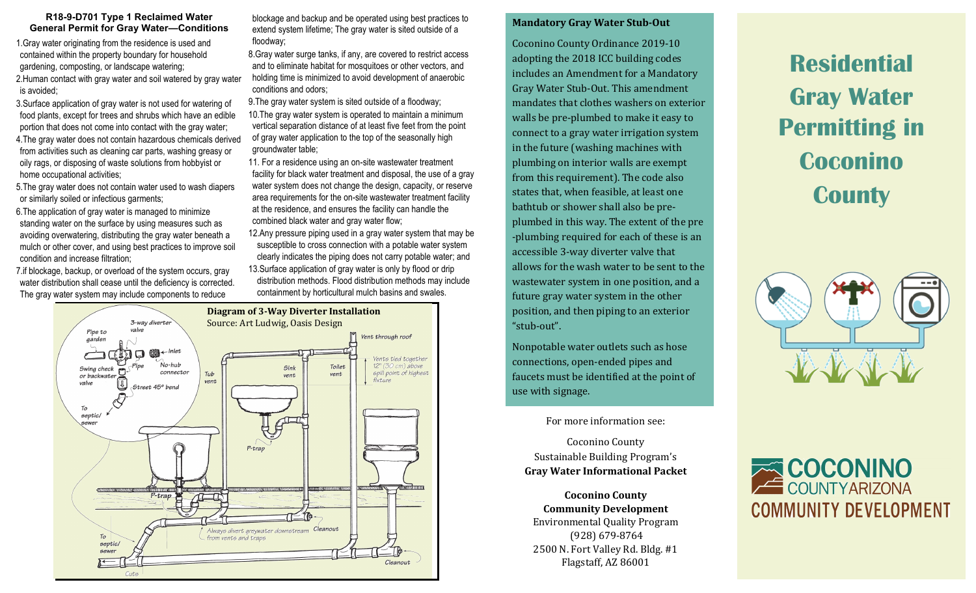#### **R18-9-D701 Type 1 Reclaimed Water General Permit for Gray Water—Conditions**

1.Gray water originating from the residence is used and contained within the property boundary for household gardening, composting, or landscape watering; 2.Human contact with gray water and soil watered by gray water is avoided;

3.Surface application of gray water is not used for watering of food plants, except for trees and shrubs which have an edible portion that does not come into contact with the gray water;

4.The gray water does not contain hazardous chemicals derived from activities such as cleaning car parts, washing greasy or oily rags, or disposing of waste solutions from hobbyist or home occupational activities;

5.The gray water does not contain water used to wash diapers or similarly soiled or infectious garments;

6.The application of gray water is managed to minimize standing water on the surface by using measures such as avoiding overwatering, distributing the gray water beneath a mulch or other cover, and using best practices to improve soil condition and increase filtration;

7.if blockage, backup, or overload of the system occurs, gray water distribution shall cease until the deficiency is corrected. The gray water system may include components to reduce

blockage and backup and be operated using best practices to extend system lifetime; The gray water is sited outside of a floodway;

8.Gray water surge tanks, if any, are covered to restrict access and to eliminate habitat for mosquitoes or other vectors, and holding time is minimized to avoid development of anaerobic conditions and odors;

9.The gray water system is sited outside of a floodway; 10.The gray water system is operated to maintain a minimum vertical separation distance of at least five feet from the point of gray water application to the top of the seasonally high groundwater table;

11. For a residence using an on-site wastewater treatment facility for black water treatment and disposal, the use of a gray water system does not change the design, capacity, or reserve area requirements for the on-site wastewater treatment facility at the residence, and ensures the facility can handle the combined black water and gray water flow;

12.Any pressure piping used in a gray water system that may be susceptible to cross connection with a potable water system clearly indicates the piping does not carry potable water; and 13.Surface application of gray water is only by flood or drip distribution methods. Flood distribution methods may include

containment by horticultural mulch basins and swales.



#### **Mandatory Gray Water Stub-Out**

Coconino County Ordinance 2019-10 adopting the 2018 ICC building codes includes an Amendment for a Mandatory Gray Water Stub-Out. This amendment mandates that clothes washers on exterior walls be pre-plumbed to make it easy to connect to a gray water irrigation system in the future (washing machines with plumbing on interior walls are exempt from this requirement). The code also states that, when feasible, at least one bathtub or shower shall also be preplumbed in this way. The extent of the pre -plumbing required for each of these is an accessible 3-way diverter valve that allows for the wash water to be sent to the wastewater system in one position, and a future gray water system in the other position, and then piping to an exterior "stub-out".

Nonpotable water outlets such as hose connections, open-ended pipes and faucets must be identified at the point of use with signage.

For more information see:

Coconino County Sustainable Building Program's **Gray Water Informational Packet**

**Coconino County Community Development** Environmental Quality Program (928) 679-8764 2500 N. Fort Valley Rd. Bldg. #1 Flagstaff, AZ 86001

**Residential Gray Water Permitting in Coconino County**